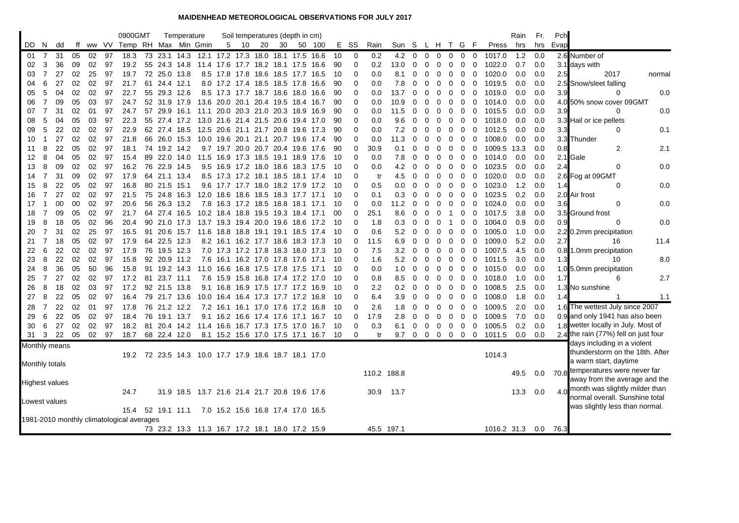## **MAIDENHEAD METEOROLOGICAL OBSERVATIONS FOR JULY 2017**

|                                           |     |               |    |    |       | 0900GMT              |    |              | Temperature  |                                                      |   | Soil temperatures (depth in cm)    |    |      |           |                                      |     |          |             |             |             |                |             |              |              |             |             | Rain | Fr. | Pch  |                                                                  |        |
|-------------------------------------------|-----|---------------|----|----|-------|----------------------|----|--------------|--------------|------------------------------------------------------|---|------------------------------------|----|------|-----------|--------------------------------------|-----|----------|-------------|-------------|-------------|----------------|-------------|--------------|--------------|-------------|-------------|------|-----|------|------------------------------------------------------------------|--------|
| DD.                                       | N   | dd            | ff |    | ww VV | Temp RH Max Min Gmin |    |              |              |                                                      | 5 | -10                                | 20 | 30   |           | 50 100                               | Е.  | SS       | Rain        | Sun         | S.          | L H            |             | Τ.           | G            | -F          | Press       | hrs  | hrs | Evap |                                                                  |        |
| -01                                       | 7   | 31            | 05 | 02 | 97    | 18.3                 | 73 |              |              | 23.1 14.3 12.1 17.2 17.3 18.0 18.1 17.5 16.6         |   |                                    |    |      |           |                                      | 10  | 0        | 0.2         | 4.2         | $\mathbf 0$ | $\overline{0}$ | 0           | $\mathbf{0}$ | 0            | 0           | 1017.0      | 1.2  | 0.0 |      | 2.6 Number of                                                    |        |
| 02                                        | 3   | 36            | 09 | 02 | 97    | 19.2                 | 55 |              | 24.3 14.8    |                                                      |   | 11.4 17.6 17.7 18.2 18.1 17.5      |    |      |           | 16.6                                 | 90  | 0        | 0.2         | 13.0        | 0           | 0              | 0           | 0            | 0            | 0           | 1022.0      | 0.7  | 0.0 |      | 3.1 days with                                                    |        |
| 03                                        | 7   | 27            | 02 | 25 | 97    | 19.7                 |    |              | 72 25.0 13.8 |                                                      |   | 8.5 17.8 17.8 18.6 18.5 17.7 16.5  |    |      |           |                                      | -10 | $\Omega$ | 0.0         | 8.1         | 0           | 0              | 0           | 0            | $\mathbf{0}$ | $\mathbf 0$ | 1020.0      | 0.0  | 0.0 | 2.5  | 2017                                                             | normal |
| 04                                        | 6   | 27            | 02 | 02 | 97    | 21.7                 | 61 | 24.4 12.1    |              |                                                      |   | 8.0 17.2 17.4 18.5 18.5 17.8       |    |      |           | 16.6                                 | 90  | 0        | 0.0         | 7.8         | 0           | 0              | 0           | 0            | 0            | $\mathbf 0$ | 1019.5      | 0.0  | 0.0 |      | 2.5 Snow/sleet falling                                           |        |
| 05                                        | 5   | 04            | 02 | 02 | 97    | 22.7                 | 55 |              | 29.3 12.6    |                                                      |   | 8.5 17.3 17.7 18.7 18.6            |    |      | 18.0      | 16.6                                 | 90  | 0        | 0.0         | 13.7        | 0           | 0              | 0           | 0            | 0            | $\mathbf 0$ | 1019.0      | 0.0  | 0.0 | 3.9  | 0                                                                | 0.0    |
| 06                                        | 7   | 09            | 05 | 03 | 97    | 24.7                 |    | 52 31.9      | 17.9         |                                                      |   | 13.6 20.0 20.1 20.4 19.5 18.4      |    |      |           | 16.7                                 | 90  | 0        | 0.0         | 10.9        | 0           | 0              | 0           | 0            | 0            | 0           | 1014.0      | 0.0  | 0.0 |      | 4.0 50% snow cover 09GMT                                         |        |
| 07                                        | 7   | 31            | 02 | 01 | 97    | 24.7                 |    | 57 29.9      | 16.1         |                                                      |   | 11.1 20.0 20.3 21.0 20.3 18.9 16.9 |    |      |           |                                      | 90  | $\Omega$ | 0.0         | 11.5        | 0           | 0              | 0           | 0            | 0            | 0           | 1015.5      | 0.0  | 0.0 | 3.9  | 0                                                                | 0.0    |
| 08                                        | 5   | 04            | 05 | 03 | 97    | 22.3                 | 55 | 27.4         | 17.2         |                                                      |   | 13.0 21.6 21.4 21.5 20.6           |    |      | 19.4      | 17.0                                 | 90  | 0        | 0.0         | 9.6         | 0           | 0              | 0           | 0            | 0            | 0           | 1018.0      | 0.0  | 0.0 |      | 3.3 Hail or ice pellets                                          |        |
| 09                                        | 5   | 22            | 02 | 02 | 97    | 22.9                 |    |              | 62 27.4 18.5 |                                                      |   | 12.5 20.6 21.1 21.7 20.8           |    |      | 19.6      | 17.3                                 | 90  | 0        | 0.0         | 7.2         | 0           | 0              | 0           | 0            | 0            | 0           | 1012.5      | 0.0  | 0.0 | 3.3  | 0                                                                | 0.1    |
| 10                                        | 1   | 27            | 02 | 02 | 97    | 21.8                 |    |              | 66 26.0 15.3 |                                                      |   | 10.0 19.6 20.1 21.1 20.7 19.6 17.4 |    |      |           |                                      | 90  | $\Omega$ | 0.0         | 11.3        | 0           | 0              | 0           | 0            | 0            | $\mathbf 0$ | 1008.0      | 0.0  | 0.0 |      | 3.3 Thunder                                                      |        |
| 11                                        | 8   | 22            | 05 | 02 | 97    | 18.1                 |    |              | 74 19.2 14.2 |                                                      |   | 9.7 19.7 20.0 20.7 20.4 19.6 17.6  |    |      |           |                                      | 90  | 0        | 30.9        | 0.1         | 0           | 0              | 0           | 0            | 0            | $\mathbf 0$ | 1009.5      | 13.3 | 0.0 | 0.8  | 2                                                                | 2.1    |
| 12                                        | 8   | 04            | 05 | 02 | 97    | 15.4                 | 89 |              | 22.0 14.0    |                                                      |   | 11.5 16.9 17.3 18.5                |    | 19.1 | 18.9      | -17.6                                | -10 | 0        | 0.0         | 7.8         | 0           | 0              | 0           | 0            | 0            | $\mathbf 0$ | 1014.0      | 0.0  | 0.0 |      | 2.1 Gale                                                         |        |
| 13                                        | 8   | 09            | 02 | 02 | 97    | 16.2                 |    |              | 76 22.9 14.5 |                                                      |   | 9.5 16.9 17.2 18.0 18.6 18.3 17.5  |    |      |           |                                      | 10  | $\Omega$ | 0.0         | 4.2         | 0           | 0              | 0           | 0            | 0            | 0           | 1023.5      | 0.0  | 0.0 | 2.4  | 0                                                                | 0.0    |
| 14                                        | 7   | 31            | 09 | 02 | 97    | 17.9                 |    |              | 64 21.1 13.4 |                                                      |   | 8.5 17.3 17.2 18.1 18.5 18.1 17.4  |    |      |           |                                      | -10 | $\Omega$ | tr          | 4.5         | 0           | 0              | 0           | $\mathbf{0}$ | 0            | $\mathbf 0$ | 1020.0      | 0.0  | 0.0 |      | 2.6 Fog at 09GMT                                                 |        |
| 15                                        | 8   | 22            | 05 | 02 | 97    | 16.8                 |    | 80 21.5      | 15.1         |                                                      |   | 9.6 17.7 17.7 18.0 18.2 17.9 17.2  |    |      |           |                                      | -10 | 0        | 0.5         | 0.0         | 0           | 0              | 0           | 0            | 0            | 0           | 1023.0      | 1.2  | 0.0 | 1.4  | 0                                                                | 0.0    |
| 16                                        | 7   | 27            | 02 | 02 | 97    | 21.5                 | 75 |              | 24.8 16.3    |                                                      |   | 12.0 18.6 18.6 18.5 18.3 17.7      |    |      |           | 17.1                                 | 10  | 0        | 0.1         | 0.3         | 0           | 0              | 0           | 0            | 0            | $\mathbf 0$ | 1023.5      | 0.2  | 0.0 |      | 2.0 Air frost                                                    |        |
| 17                                        |     | $00\,$        | 00 | 02 | 97    | 20.6                 |    |              | 56 26.3 13.2 |                                                      |   | 7.8 16.3 17.2 18.5 18.8 18.1 17.1  |    |      |           |                                      | -10 | 0        | 0.0         | 11.2        | 0           | 0              | 0           | $\mathbf 0$  | 0            | $\mathbf 0$ | 1024.0      | 0.0  | 0.0 | 3.6  | 0                                                                | 0.0    |
| 18                                        |     | 09            | 05 | 02 | 97    | 21.7                 |    |              | 64 27.4 16.5 |                                                      |   | 10.2 18.4 18.8 19.5 19.3 18.4 17.1 |    |      |           |                                      | 00  | $\Omega$ | 25.1        | 8.6         | 0           | 0              | 0           | -1           | 0            | $\mathbf 0$ | 1017.5      | 3.8  | 0.0 |      | 3.5 Ground frost                                                 |        |
| 19                                        | 8   | 18            | 05 | 02 | 96    | 20.4                 |    |              | 90 21.0 17.3 |                                                      |   | 13.7 19.3 19.4 20.0 19.6 18.6      |    |      |           | 17.2                                 | -10 | $\Omega$ | 1.8         | 0.3         | 0           | 0              | 0           |              | 0            | $\mathbf 0$ | 1004.0      | 0.9  | 0.0 | 0.9  | 0                                                                | 0.0    |
| 20                                        | 7   | 31            | 02 | 25 | 97    | 16.5                 |    | 91 20.6      | 15.7         |                                                      |   | 11.6 18.8 18.8 19.1 19.1 18.5 17.4 |    |      |           |                                      | 10  | $\Omega$ | 0.6         | 5.2         | 0           | 0              | 0           | $\mathbf 0$  | 0            | 0           | 1005.0      | 1.0  | 0.0 |      | 2.2 0.2mm precipitation                                          |        |
| 21                                        | 7   | 18            | 05 | 02 | 97    | 17.9                 |    |              | 64 22.5 12.3 |                                                      |   | 8.2 16.1 16.2 17.7 18.6 18.3 17.3  |    |      |           |                                      | -10 | 0        | 11.5        | 6.9         | 0           | 0              | 0           | 0            | 0            | 0           | 1009.0      | 5.2  | 0.0 | 2.7  | 16                                                               | 11.4   |
| 22                                        | 6   | 22            | 02 | 02 | 97    | 17.9                 | 76 |              | 19.5 12.3    |                                                      |   | 7.0 17.3 17.2 17.8 18.3 18.0 17.3  |    |      |           |                                      | 10  | 0        | 7.5         | 3.2         | 0           | 0              | 0           | 0            | 0            | 0           | 1007.5      | 4.5  | 0.0 |      | 0.8 1.0mm precipitation                                          |        |
| 23                                        | 8   | 22            | 02 | 02 | 97    | 15.8                 | 92 |              | 20.9 11.2    |                                                      |   | 7.6 16.1 16.2 17.0 17.8            |    |      | 17.6      | 17.1                                 | 10  | 0        | 1.6         | 5.2         | 0           | 0              | 0           | 0            | 0            | 0           | 1011.5      | 3.0  | 0.0 | 1.3  | 10                                                               | 8.0    |
| 24                                        | 8   | 36            | 05 | 50 | 96    | 15.8                 |    |              | 91 19.2 14.3 |                                                      |   | 11.0 16.6 16.8 17.5 17.8 17.5 17.1 |    |      |           |                                      | 10  | 0        | 0.0         | 1.0         | 0           | 0              | 0           | 0            | 0            | 0           | 1015.0      | 0.0  | 0.0 |      | 1.0 5.0mm precipitation                                          |        |
| 25                                        | 7   | 27            | 02 | 02 | 97    | 17.2                 |    | 81 23.7 11.1 |              |                                                      |   | 7.6 15.9 15.8 16.8 17.4 17.2 17.0  |    |      |           |                                      | 10  | 0        | 0.8         | 8.5         | 0           | 0              | 0           | 0            | 0            | $\mathbf 0$ | 1018.0      | 1.0  | 0.0 | 1.7  | 6                                                                | 2.7    |
| 26                                        | 8   | 18            | 02 | 03 | 97    | 17.2                 |    |              | 92 21.5 13.8 |                                                      |   | 9.1 16.8 16.9 17.5 17.7 17.2       |    |      |           | 16.9                                 | -10 | $\Omega$ | 2.2         | 0.2         | $\Omega$    | 0              | 0           | 0            | 0            | $\mathbf 0$ | 1008.5      | 2.5  | 0.0 |      | 1.3 No sunshine                                                  |        |
| 27                                        | 8   | 22            | 05 | 02 | 97    | 16.4                 |    |              | 79 21.7 13.6 |                                                      |   | 10.0 16.4 16.4 17.3 17.7 17.2 16.8 |    |      |           |                                      | -10 | 0        | 6.4         | 3.9         | 0           | 0              | 0           | 0            | 0            | 0           | 1008.0      | 1.8  | 0.0 | 1.4  | -1                                                               | 1.1    |
| 28                                        | 7   | 22            | 02 | 01 | 97    | 17.8                 |    |              | 76 21.2 12.2 |                                                      |   | 7.2 16.1 16.1 17.0 17.6            |    |      | 17.2 16.8 |                                      | -10 | $\Omega$ | 2.6         | 1.8         | 0           | 0              | 0           | 0            | 0            | 0           | 1009.5      | 2.0  | 0.0 |      | 1.6 The wettest July since 2007                                  |        |
| 29                                        | 6   | 22            | 05 | 02 | 97    | 18.4                 | 76 |              | 19.1 13.7    |                                                      |   | 9.1 16.2 16.6 17.4 17.6 17.1 16.7  |    |      |           |                                      | -10 | $\Omega$ | 17.9        | 2.8         | 0           | 0              | $\mathbf 0$ | $\mathbf{0}$ | $\mathbf{0}$ | $\Omega$    | 1009.5      | 7.0  | 0.0 |      | 0.9 and only 1941 has also been                                  |        |
| 30                                        | 6   | 27            | 02 | 02 | 97    | 18.2                 |    |              |              | 81 20.4 14.2 11.4 16.6 16.7 17.3 17.5 17.0 16.7      |   |                                    |    |      |           |                                      | -10 | 0        | 0.3         | 6.1         | 0           | $\mathbf 0$    | $\mathbf 0$ | $\mathbf{0}$ | $\mathbf 0$  | 0           | 1005.5      | 0.2  | 0.0 |      | 1.8 wetter locally in July. Most of                              |        |
| 31                                        | - 3 | - 22          | 05 | 02 | 97    | 18.7                 |    |              | 68 22.4 12.0 |                                                      |   |                                    |    |      |           | 8.1 15.2 15.6 17.0 17.5 17.1 16.7 10 |     | 0        | tr          | 9.7 0 0 0 0 |             |                |             |              | $0\quad 0$   |             | 1011.5      | 0.0  | 0.0 |      | 2.4 the rain (77%) fell on just four                             |        |
|                                           |     | Monthly means |    |    |       |                      |    |              |              |                                                      |   |                                    |    |      |           |                                      |     |          |             |             |             |                |             |              |              |             |             |      |     |      | days including in a violent                                      |        |
|                                           |     |               |    |    |       |                      |    |              |              | 19.2 72 23.5 14.3 10.0 17.7 17.9 18.6 18.7 18.1 17.0 |   |                                    |    |      |           |                                      |     |          |             |             |             |                |             |              |              |             | 1014.3      |      |     |      | thunderstorm on the 18th. After                                  |        |
| Monthly totals                            |     |               |    |    |       |                      |    |              |              |                                                      |   |                                    |    |      |           |                                      |     |          |             |             |             |                |             |              |              |             |             |      |     |      | a warm start, daytime                                            |        |
|                                           |     |               |    |    |       |                      |    |              |              |                                                      |   |                                    |    |      |           |                                      |     |          | 110.2 188.8 |             |             |                |             |              |              |             |             | 49.5 | 0.0 |      | 70.8 temperatures were never far                                 |        |
| <b>Highest values</b>                     |     |               |    |    |       |                      |    |              |              |                                                      |   |                                    |    |      |           |                                      |     |          |             |             |             |                |             |              |              |             |             |      |     |      | away from the average and the                                    |        |
|                                           |     |               |    |    |       | 24.7                 |    |              |              | 31.9 18.5 13.7 21.6 21.4 21.7 20.8 19.6 17.6         |   |                                    |    |      |           |                                      |     |          | 30.9        | 13.7        |             |                |             |              |              |             |             | 13.3 | 0.0 | 4.0  | month was slightly milder than<br>normal overall. Sunshine total |        |
| Lowest values                             |     |               |    |    |       |                      |    |              |              |                                                      |   |                                    |    |      |           |                                      |     |          |             |             |             |                |             |              |              |             |             |      |     |      | was slightly less than normal.                                   |        |
|                                           |     |               |    |    |       | 15.4                 |    |              | 52 19.1 11.1 |                                                      |   | 7.0 15.2 15.6 16.8 17.4 17.0 16.5  |    |      |           |                                      |     |          |             |             |             |                |             |              |              |             |             |      |     |      |                                                                  |        |
| 1981-2010 monthly climatological averages |     |               |    |    |       |                      |    |              |              |                                                      |   |                                    |    |      |           |                                      |     |          |             |             |             |                |             |              |              |             |             |      |     |      |                                                                  |        |
|                                           |     |               |    |    |       |                      |    |              |              | 73 23.2 13.3 11.3 16.7 17.2 18.1 18.0 17.2 15.9      |   |                                    |    |      |           |                                      |     |          |             | 45.5 197.1  |             |                |             |              |              |             | 1016.2 31.3 |      | 0.0 | 76.3 |                                                                  |        |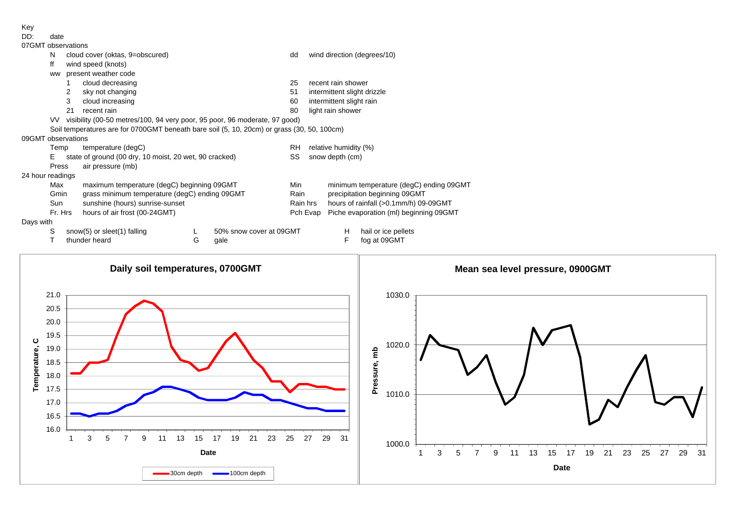Key<br>DD:

date

| --- | uuw              |
|-----|------------------|
|     | $07CMT$ obecnies |

|                  |           | 07GMT observations                                                                         |   |                         |                              |  |                                                                                    |                             |  |  |  |  |
|------------------|-----------|--------------------------------------------------------------------------------------------|---|-------------------------|------------------------------|--|------------------------------------------------------------------------------------|-----------------------------|--|--|--|--|
|                  | N         | cloud cover (oktas, 9=obscured)                                                            |   |                         | dd                           |  | wind direction (degrees/10)                                                        |                             |  |  |  |  |
|                  | ff        | wind speed (knots)                                                                         |   |                         |                              |  |                                                                                    |                             |  |  |  |  |
|                  | <b>WW</b> | present weather code                                                                       |   |                         |                              |  |                                                                                    |                             |  |  |  |  |
|                  |           | cloud decreasing                                                                           |   |                         | 25                           |  | recent rain shower                                                                 |                             |  |  |  |  |
|                  |           | sky not changing<br>2                                                                      |   |                         | 51                           |  |                                                                                    | intermittent slight drizzle |  |  |  |  |
|                  |           | cloud increasing<br>3                                                                      |   |                         | 60                           |  | intermittent slight rain                                                           |                             |  |  |  |  |
|                  |           | 21<br>recent rain                                                                          |   |                         | 80                           |  | light rain shower                                                                  |                             |  |  |  |  |
|                  | VV.       | visibility (00-50 metres/100, 94 very poor, 95 poor, 96 moderate, 97 good)                 |   |                         |                              |  |                                                                                    |                             |  |  |  |  |
|                  |           | Soil temperatures are for 0700GMT beneath bare soil (5, 10, 20cm) or grass (30, 50, 100cm) |   |                         |                              |  |                                                                                    |                             |  |  |  |  |
|                  |           | 09GMT observations                                                                         |   |                         |                              |  |                                                                                    |                             |  |  |  |  |
|                  | Temp      | temperature (degC)                                                                         |   |                         | RH.<br>relative humidity (%) |  |                                                                                    |                             |  |  |  |  |
|                  | F.        | state of ground (00 dry, 10 moist, 20 wet, 90 cracked)                                     |   |                         | SS                           |  | snow depth (cm)                                                                    |                             |  |  |  |  |
|                  | Press     | air pressure (mb)                                                                          |   |                         |                              |  |                                                                                    |                             |  |  |  |  |
| 24 hour readings |           |                                                                                            |   |                         |                              |  |                                                                                    |                             |  |  |  |  |
|                  | Max       | maximum temperature (degC) beginning 09GMT                                                 |   |                         |                              |  | minimum temperature (degC) ending 09GMT                                            |                             |  |  |  |  |
|                  | Gmin      | grass minimum temperature (degC) ending 09GMT                                              |   |                         |                              |  | precipitation beginning 09GMT<br>hours of rainfall (>0.1mm/h) 09-09GMT<br>Rain hrs |                             |  |  |  |  |
|                  | Sun       | sunshine (hours) sunrise-sunset                                                            |   |                         |                              |  |                                                                                    |                             |  |  |  |  |
|                  |           | Fr. Hrs<br>hours of air frost (00-24GMT)                                                   |   |                         | Pch Evap                     |  | Piche evaporation (ml) beginning 09GMT                                             |                             |  |  |  |  |
| Days with        |           |                                                                                            |   |                         |                              |  |                                                                                    |                             |  |  |  |  |
|                  | S         | snow(5) or sleet(1) falling                                                                |   | 50% snow cover at 09GMT |                              |  | H                                                                                  | hail or ice pellets         |  |  |  |  |
|                  |           | thunder heard                                                                              | G | qale                    |                              |  | F                                                                                  | fog at 09GMT                |  |  |  |  |